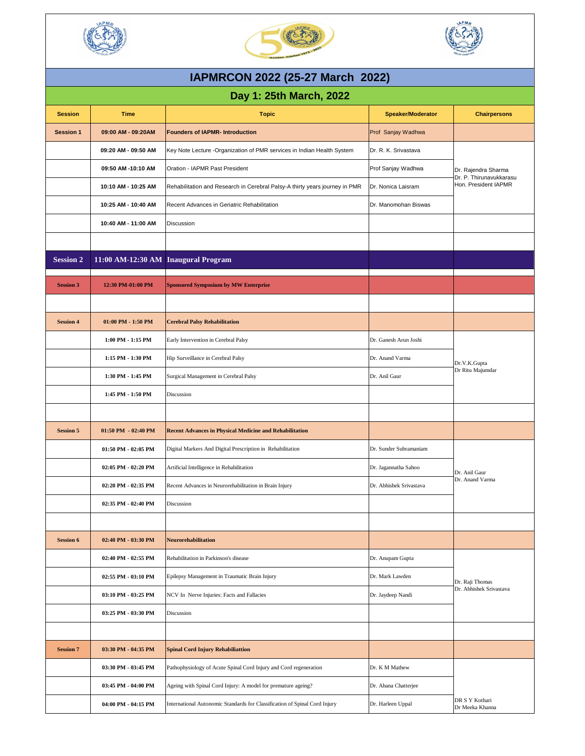| <b>Session</b>   | <b>Time</b>                         | <b>Topic</b>                                                                | <b>Speaker/Moderator</b> | <b>Chairpersons</b>                                                    |
|------------------|-------------------------------------|-----------------------------------------------------------------------------|--------------------------|------------------------------------------------------------------------|
| <b>Session 1</b> | 09:00 AM - 09:20AM                  | <b>Founders of IAPMR- Introduction</b>                                      | Prof Sanjay Wadhwa       |                                                                        |
|                  | 09:20 AM - 09:50 AM                 | Key Note Lecture -Organization of PMR services in Indian Health System      | Dr. R. K. Srivastava     | Dr. Rajendra Sharma<br>Dr. P. Thirunavukkarasu<br>Hon. President IAPMR |
|                  | 09:50 AM -10:10 AM                  | <b>Oration - IAPMR Past President</b>                                       | Prof Sanjay Wadhwa       |                                                                        |
|                  | 10:10 AM - 10:25 AM                 | Rehabilitation and Research in Cerebral Palsy-A thirty years journey in PMR | Dr. Nonica Laisram       |                                                                        |
|                  | 10:25 AM - 10:40 AM                 | Recent Advances in Geriatric Rehabilitation                                 | Dr. Manomohan Biswas     |                                                                        |
|                  | 10:40 AM - 11:00 AM                 | <b>Discussion</b>                                                           |                          |                                                                        |
|                  |                                     |                                                                             |                          |                                                                        |
| <b>Session 2</b> | 11:00 AM-12:30 AM Inaugural Program |                                                                             |                          |                                                                        |
| <b>Session 3</b> | 12:30 PM-01:00 PM                   | <b>Sponsored Symposium by MW Enterprise</b>                                 |                          |                                                                        |
|                  |                                     |                                                                             |                          |                                                                        |
| <b>Session 4</b> | $01:00$ PM $- 1:50$ PM              | <b>Cerebral Palsy Rehabilitation</b>                                        |                          |                                                                        |
|                  | 1:00 PM - 1:15 PM                   | Early Intervention in Cerebral Palsy                                        | Dr. Ganesh Arun Joshi    | Dr.V.K.Gupta<br>Dr Ritu Majumdar                                       |
|                  | 1:15 PM - 1:30 PM                   | Hip Surveillance in Cerebral Palsy                                          | Dr. Anand Varma          |                                                                        |
|                  | 1:30 PM - 1:45 PM                   | Surgical Management in Cerebral Palsy                                       | Dr. Anil Gaur            |                                                                        |
|                  | 1:45 PM - 1:50 PM                   | Discussion                                                                  |                          |                                                                        |
|                  |                                     |                                                                             |                          |                                                                        |
| <b>Session 5</b> | $01:50$ PM $-02:40$ PM              | <b>Recent Advances in Physical Medicine and Rehabilitation</b>              |                          |                                                                        |
|                  | 01:50 PM - 02:05 PM                 | Digital Markers And Digital Prescription in Rehabilitation                  | Dr. Sunder Subramaniam   | Dr. Anil Gaur<br>Dr. Anand Varma                                       |
|                  | 02:05 PM - 02:20 PM                 | Artificial Intelligence in Rehabilitation                                   | Dr. Jagannatha Sahoo     |                                                                        |
|                  | 02:20 PM - 02:35 PM                 | Recent Advances in Neurorehabilitation in Brain Injury                      | Dr. Abhishek Srivastava  |                                                                        |
|                  | 02:35 PM - 02:40 PM                 | Discussion                                                                  |                          |                                                                        |
|                  |                                     |                                                                             |                          |                                                                        |
| <b>Session 6</b> | 02:40 PM - 03:30 PM                 | Neurorehabilitation                                                         |                          |                                                                        |
|                  | $02:40$ PM - $02:55$ PM             | Rehabilitation in Parkinson's disease                                       | Dr. Anupam Gupta         | Dr. Raji Thomas<br>Dr. Abhishek Srivastava                             |
|                  | 02:55 PM - 03:10 PM                 | Epilepsy Management in Traumatic Brain Injury                               | Dr. Mark Lawden          |                                                                        |
|                  | 03:10 PM - 03:25 PM                 | NCV In Nerve Injuries: Facts and Fallacies                                  | Dr. Jaydeep Nandi        |                                                                        |
|                  | 03:25 PM - 03:30 PM                 | Discussion                                                                  |                          |                                                                        |
|                  |                                     |                                                                             |                          |                                                                        |
| <b>Session 7</b> | 03:30 PM - 04:35 PM                 | <b>Spinal Cord Injury Rehabiliattion</b>                                    |                          |                                                                        |
|                  | 03:30 PM - 03:45 PM                 | Pathophysiology of Acute Spinal Cord Injury and Cord regeneration           | Dr. K M Mathew           |                                                                        |
|                  | 03:45 PM - 04:00 PM                 | Ageing with Spinal Cord Injury: A model for premature ageing?               | Dr. Ahana Chatterjee     |                                                                        |
|                  | 04:00 PM - 04:15 PM                 | International Autonomic Standards for Classification of Spinal Cord Injury  | Dr. Harleen Uppal        | DR S Y Kothari<br>Dr Meeka Khanna                                      |







## **IAPMRCON 2022 (25-27 March 2022)**

## **Day 1: 25th March, 2022**